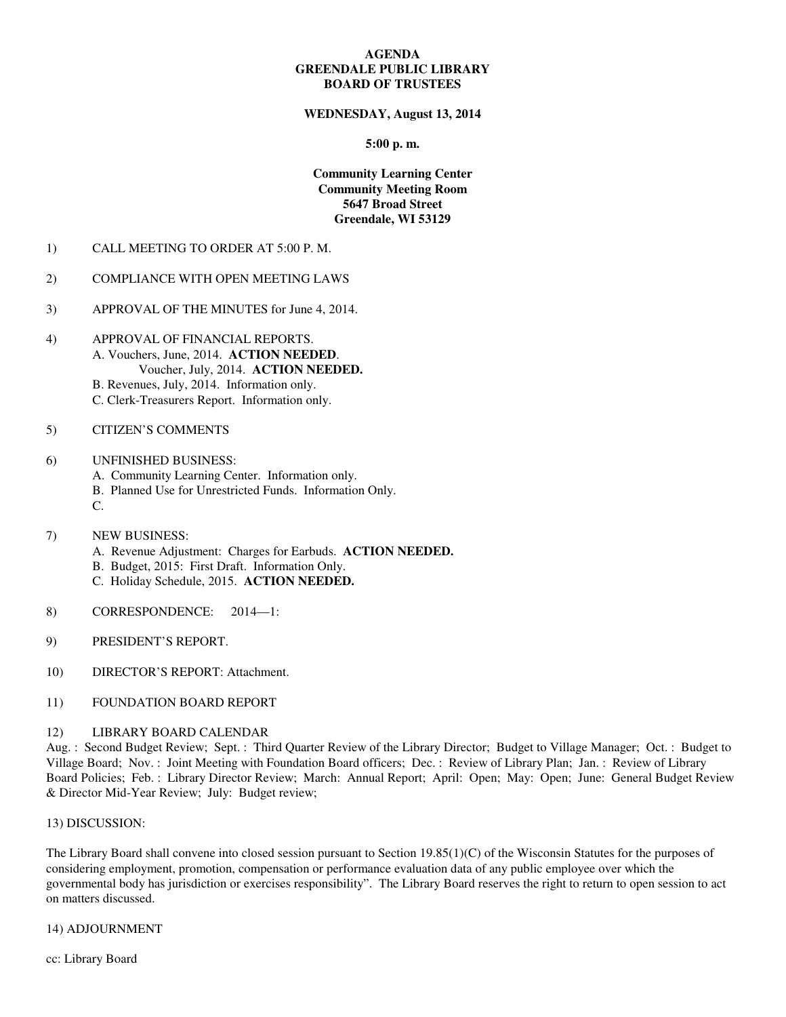## **AGENDA GREENDALE PUBLIC LIBRARY BOARD OF TRUSTEES**

## **WEDNESDAY, August 13, 2014**

## **5:00 p. m.**

# **Community Learning Center Community Meeting Room 5647 Broad Street Greendale, WI 53129**

1) CALL MEETING TO ORDER AT 5:00 P. M.

## 2) COMPLIANCE WITH OPEN MEETING LAWS

- 3) APPROVAL OF THE MINUTES for June 4, 2014.
- 4) APPROVAL OF FINANCIAL REPORTS. A. Vouchers, June, 2014. **ACTION NEEDED**. Voucher, July, 2014. **ACTION NEEDED.**
	- B. Revenues, July, 2014. Information only.
	- C. Clerk-Treasurers Report. Information only.

# 5) CITIZEN'S COMMENTS

## 6) UNFINISHED BUSINESS:

- A. Community Learning Center. Information only.
- B. Planned Use for Unrestricted Funds. Information Only.
- C.
- 7) NEW BUSINESS:
	- A. Revenue Adjustment: Charges for Earbuds. **ACTION NEEDED.**
	- B. Budget, 2015: First Draft. Information Only.
	- C. Holiday Schedule, 2015. **ACTION NEEDED.**
- 8) CORRESPONDENCE: 2014—1:
- 9) PRESIDENT'S REPORT.
- 10) DIRECTOR'S REPORT: Attachment.
- 11) FOUNDATION BOARD REPORT

#### 12) LIBRARY BOARD CALENDAR

Aug. : Second Budget Review; Sept. : Third Quarter Review of the Library Director; Budget to Village Manager; Oct. : Budget to Village Board; Nov. : Joint Meeting with Foundation Board officers; Dec. : Review of Library Plan; Jan. : Review of Library Board Policies; Feb. : Library Director Review; March: Annual Report; April: Open; May: Open; June: General Budget Review & Director Mid-Year Review; July: Budget review;

#### 13) DISCUSSION:

The Library Board shall convene into closed session pursuant to Section 19.85(1)(C) of the Wisconsin Statutes for the purposes of considering employment, promotion, compensation or performance evaluation data of any public employee over which the governmental body has jurisdiction or exercises responsibility". The Library Board reserves the right to return to open session to act on matters discussed.

### 14) ADJOURNMENT

cc: Library Board